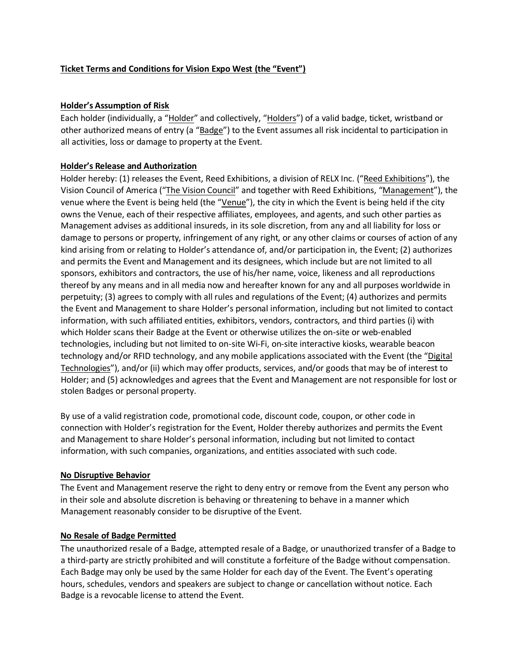## **Ticket Terms and Conditions for Vision Expo West (the "Event")**

### **Holder's Assumption of Risk**

Each holder (individually, a "Holder" and collectively, "Holders") of a valid badge, ticket, wristband or other authorized means of entry (a "Badge") to the Event assumes all risk incidental to participation in all activities, loss or damage to property at the Event.

### **Holder's Release and Authorization**

Holder hereby: (1) releases the Event, Reed Exhibitions, a division of RELX Inc. ("Reed Exhibitions"), the Vision Council of America ("The Vision Council" and together with Reed Exhibitions, "Management"), the venue where the Event is being held (the "Venue"), the city in which the Event is being held if the city owns the Venue, each of their respective affiliates, employees, and agents, and such other parties as Management advises as additional insureds, in its sole discretion, from any and all liability for loss or damage to persons or property, infringement of any right, or any other claims or courses of action of any kind arising from or relating to Holder's attendance of, and/or participation in, the Event; (2) authorizes and permits the Event and Management and its designees, which include but are not limited to all sponsors, exhibitors and contractors, the use of his/her name, voice, likeness and all reproductions thereof by any means and in all media now and hereafter known for any and all purposes worldwide in perpetuity; (3) agrees to comply with all rules and regulations of the Event; (4) authorizes and permits the Event and Management to share Holder's personal information, including but not limited to contact information, with such affiliated entities, exhibitors, vendors, contractors, and third parties (i) with which Holder scans their Badge at the Event or otherwise utilizes the on-site or web-enabled technologies, including but not limited to on-site Wi-Fi, on-site interactive kiosks, wearable beacon technology and/or RFID technology, and any mobile applications associated with the Event (the "Digital Technologies"), and/or (ii) which may offer products, services, and/or goods that may be of interest to Holder; and (5) acknowledges and agrees that the Event and Management are not responsible for lost or stolen Badges or personal property.

By use of a valid registration code, promotional code, discount code, coupon, or other code in connection with Holder's registration for the Event, Holder thereby authorizes and permits the Event and Management to share Holder's personal information, including but not limited to contact information, with such companies, organizations, and entities associated with such code.

### **No Disruptive Behavior**

The Event and Management reserve the right to deny entry or remove from the Event any person who in their sole and absolute discretion is behaving or threatening to behave in a manner which Management reasonably consider to be disruptive of the Event.

### **No Resale of Badge Permitted**

The unauthorized resale of a Badge, attempted resale of a Badge, or unauthorized transfer of a Badge to a third-party are strictly prohibited and will constitute a forfeiture of the Badge without compensation. Each Badge may only be used by the same Holder for each day of the Event. The Event's operating hours, schedules, vendors and speakers are subject to change or cancellation without notice. Each Badge is a revocable license to attend the Event.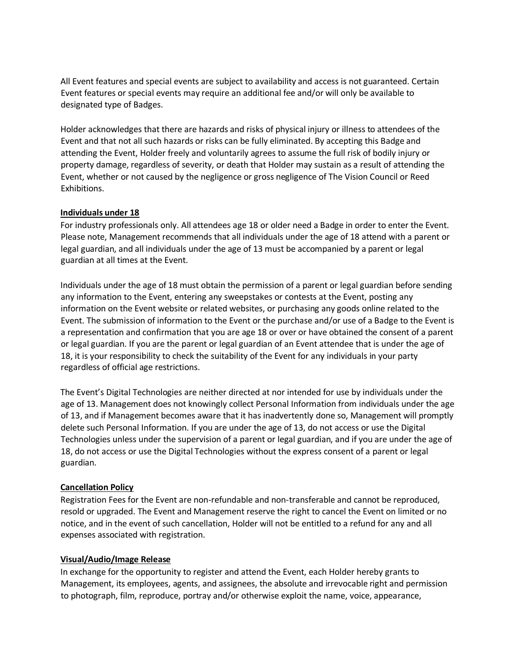All Event features and special events are subject to availability and access is not guaranteed. Certain Event features or special events may require an additional fee and/or will only be available to designated type of Badges.

Holder acknowledges that there are hazards and risks of physical injury or illness to attendees of the Event and that not all such hazards or risks can be fully eliminated. By accepting this Badge and attending the Event, Holder freely and voluntarily agrees to assume the full risk of bodily injury or property damage, regardless of severity, or death that Holder may sustain as a result of attending the Event, whether or not caused by the negligence or gross negligence of The Vision Council or Reed Exhibitions.

### **Individuals under 18**

For industry professionals only. All attendees age 18 or older need a Badge in order to enter the Event. Please note, Management recommends that all individuals under the age of 18 attend with a parent or legal guardian, and all individuals under the age of 13 must be accompanied by a parent or legal guardian at all times at the Event.

Individuals under the age of 18 must obtain the permission of a parent or legal guardian before sending any information to the Event, entering any sweepstakes or contests at the Event, posting any information on the Event website or related websites, or purchasing any goods online related to the Event. The submission of information to the Event or the purchase and/or use of a Badge to the Event is a representation and confirmation that you are age 18 or over or have obtained the consent of a parent or legal guardian. If you are the parent or legal guardian of an Event attendee that is under the age of 18, it is your responsibility to check the suitability of the Event for any individuals in your party regardless of official age restrictions.

The Event's Digital Technologies are neither directed at nor intended for use by individuals under the age of 13. Management does not knowingly collect Personal Information from individuals under the age of 13, and if Management becomes aware that it has inadvertently done so, Management will promptly delete such Personal Information. If you are under the age of 13, do not access or use the Digital Technologies unless under the supervision of a parent or legal guardian, and if you are under the age of 18, do not access or use the Digital Technologies without the express consent of a parent or legal guardian.

# **Cancellation Policy**

Registration Fees for the Event are non-refundable and non-transferable and cannot be reproduced, resold or upgraded. The Event and Management reserve the right to cancel the Event on limited or no notice, and in the event of such cancellation, Holder will not be entitled to a refund for any and all expenses associated with registration.

### **Visual/Audio/Image Release**

In exchange for the opportunity to register and attend the Event, each Holder hereby grants to Management, its employees, agents, and assignees, the absolute and irrevocable right and permission to photograph, film, reproduce, portray and/or otherwise exploit the name, voice, appearance,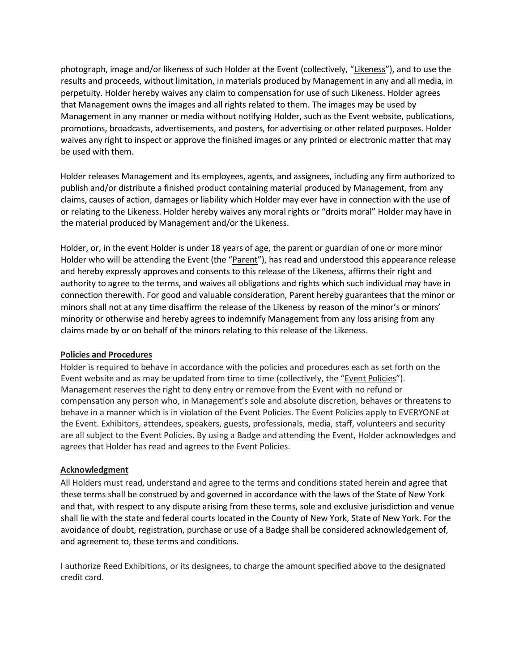photograph, image and/or likeness of such Holder at the Event (collectively, "Likeness"), and to use the results and proceeds, without limitation, in materials produced by Management in any and all media, in perpetuity. Holder hereby waives any claim to compensation for use of such Likeness. Holder agrees that Management owns the images and all rights related to them. The images may be used by Management in any manner or media without notifying Holder, such as the Event website, publications, promotions, broadcasts, advertisements, and posters, for advertising or other related purposes. Holder waives any right to inspect or approve the finished images or any printed or electronic matter that may be used with them.

Holder releases Management and its employees, agents, and assignees, including any firm authorized to publish and/or distribute a finished product containing material produced by Management, from any claims, causes of action, damages or liability which Holder may ever have in connection with the use of or relating to the Likeness. Holder hereby waives any moral rights or "droits moral" Holder may have in the material produced by Management and/or the Likeness.

Holder, or, in the event Holder is under 18 years of age, the parent or guardian of one or more minor Holder who will be attending the Event (the "Parent"), has read and understood this appearance release and hereby expressly approves and consents to this release of the Likeness, affirms their right and authority to agree to the terms, and waives all obligations and rights which such individual may have in connection therewith. For good and valuable consideration, Parent hereby guarantees that the minor or minors shall not at any time disaffirm the release of the Likeness by reason of the minor's or minors' minority or otherwise and hereby agrees to indemnify Management from any loss arising from any claims made by or on behalf of the minors relating to this release of the Likeness.

### **Policies and Procedures**

Holder is required to behave in accordance with the policies and procedures each as set forth on the Event website and as may be updated from time to time (collectively, the "Event Policies"). Management reserves the right to deny entry or remove from the Event with no refund or compensation any person who, in Management's sole and absolute discretion, behaves or threatens to behave in a manner which is in violation of the Event Policies. The Event Policies apply to EVERYONE at the Event. Exhibitors, attendees, speakers, guests, professionals, media, staff, volunteers and security are all subject to the Event Policies. By using a Badge and attending the Event, Holder acknowledges and agrees that Holder has read and agrees to the Event Policies.

### **Acknowledgment**

All Holders must read, understand and agree to the terms and conditions stated herein and agree that these terms shall be construed by and governed in accordance with the laws of the State of New York and that, with respect to any dispute arising from these terms, sole and exclusive jurisdiction and venue shall lie with the state and federal courts located in the County of New York, State of New York. For the avoidance of doubt, registration, purchase or use of a Badge shall be considered acknowledgement of, and agreement to, these terms and conditions.

I authorize Reed Exhibitions, or its designees, to charge the amount specified above to the designated credit card.